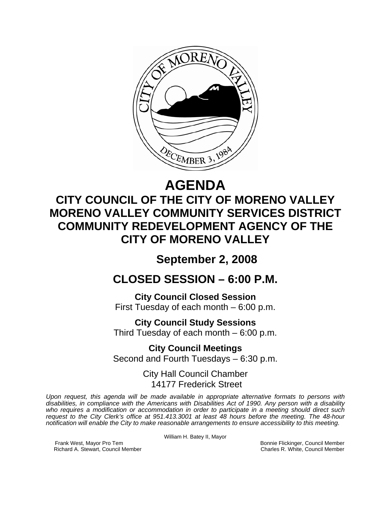

# **AGENDA CITY COUNCIL OF THE CITY OF MORENO VALLEY MORENO VALLEY COMMUNITY SERVICES DISTRICT COMMUNITY REDEVELOPMENT AGENCY OF THE CITY OF MORENO VALLEY**

## **September 2, 2008**

# **CLOSED SESSION – 6:00 P.M.**

**City Council Closed Session**  First Tuesday of each month – 6:00 p.m.

**City Council Study Sessions**  Third Tuesday of each month – 6:00 p.m.

**City Council Meetings**  Second and Fourth Tuesdays – 6:30 p.m.

> City Hall Council Chamber 14177 Frederick Street

*Upon request, this agenda will be made available in appropriate alternative formats to persons with disabilities, in compliance with the Americans with Disabilities Act of 1990. Any person with a disability who requires a modification or accommodation in order to participate in a meeting should direct such request to the City Clerk's office at 951.413.3001 at least 48 hours before the meeting. The 48-hour notification will enable the City to make reasonable arrangements to ensure accessibility to this meeting.* 

William H. Batey II, Mayor

Frank West, Mayor Pro Tem Bonnie Flickinger, Council Member<br>Richard A. Stewart, Council Member **Bonnie Flickinger, Council Member** Charles R. White, Council Member Richard A. Stewart, Council Member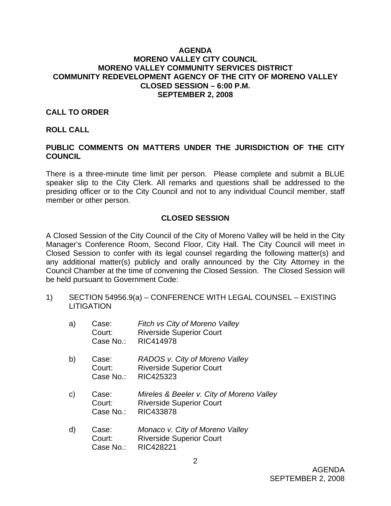#### **AGENDA MORENO VALLEY CITY COUNCIL MORENO VALLEY COMMUNITY SERVICES DISTRICT COMMUNITY REDEVELOPMENT AGENCY OF THE CITY OF MORENO VALLEY CLOSED SESSION – 6:00 P.M. SEPTEMBER 2, 2008**

## **CALL TO ORDER**

#### **ROLL CALL**

## **PUBLIC COMMENTS ON MATTERS UNDER THE JURISDICTION OF THE CITY COUNCIL**

There is a three-minute time limit per person. Please complete and submit a BLUE speaker slip to the City Clerk. All remarks and questions shall be addressed to the presiding officer or to the City Council and not to any individual Council member, staff member or other person.

## **CLOSED SESSION**

A Closed Session of the City Council of the City of Moreno Valley will be held in the City Manager's Conference Room, Second Floor, City Hall. The City Council will meet in Closed Session to confer with its legal counsel regarding the following matter(s) and any additional matter(s) publicly and orally announced by the City Attorney in the Council Chamber at the time of convening the Closed Session. The Closed Session will be held pursuant to Government Code:

1) SECTION 54956.9(a) – CONFERENCE WITH LEGAL COUNSEL – EXISTING **LITIGATION** 

| a) | Case:<br>Court:<br>Case No.: | Fitch vs City of Moreno Valley<br><b>Riverside Superior Court</b><br>RIC414978            |
|----|------------------------------|-------------------------------------------------------------------------------------------|
| b) | Case:<br>Court:<br>Case No.: | RADOS v. City of Moreno Valley<br><b>Riverside Superior Court</b><br>RIC425323            |
| C) | Case:<br>Court:<br>Case No.: | Mireles & Beeler v. City of Moreno Valley<br><b>Riverside Superior Court</b><br>RIC433878 |
| d) | Case:<br>Court:              | Monaco v. City of Moreno Valley<br><b>Riverside Superior Court</b>                        |

Case No.: RIC428221